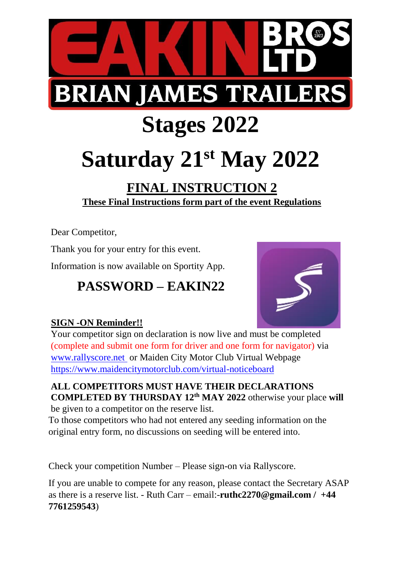

## **Stages 2022**

# **Saturday 21st May 2022**

## **FINAL INSTRUCTION 2 These Final Instructions form part of the event Regulations**

Dear Competitor,

Thank you for your entry for this event.

Information is now available on Sportity App.

## **PASSWORD – EAKIN22**



#### **SIGN -ON Reminder!!**

Your competitor sign on declaration is now live and must be completed (complete and submit one form for driver and one form for navigator) via [www.rallyscore.net](http://www.rallyscore.net/) or Maiden City Motor Club Virtual Webpage <https://www.maidencitymotorclub.com/virtual-noticeboard>

#### **ALL COMPETITORS MUST HAVE THEIR DECLARATIONS COMPLETED BY THURSDAY 12th MAY 2022** otherwise your place **will** be given to a competitor on the reserve list.

To those competitors who had not entered any seeding information on the original entry form, no discussions on seeding will be entered into.

Check your competition Number – Please sign-on via Rallyscore.

If you are unable to compete for any reason, please contact the Secretary ASAP as there is a reserve list. - Ruth Carr – email:-**ruthc2270@gmail.com / +44 7761259543**)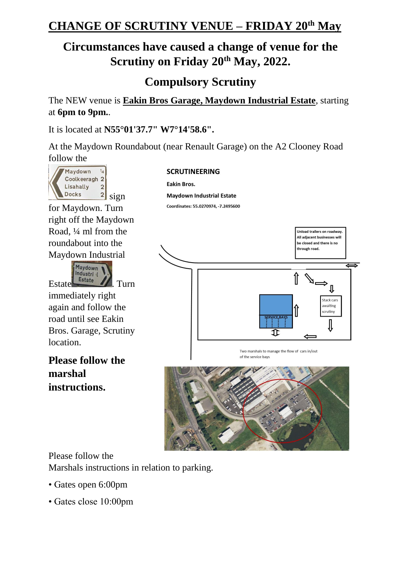## **CHANGE OF SCRUTINY VENUE – FRIDAY 20th May**

## **Circumstances have caused a change of venue for the Scrutiny on Friday 20th May, 2022.**

**Compulsory Scrutiny**

The NEW venue is **Eakin Bros Garage, Maydown Industrial Estate**, starting at **6pm to 9pm.**.

It is located at **N55°01'37.7" W7°14'58.6".**

At the Maydown Roundabout (near Renault Garage) on the A2 Clooney Road follow the



for Maydown. Turn right off the Maydown Road, ¼ ml from the roundabout into the Maydown Industrial



immediately right again and follow the road until see Eakin Bros. Garage, Scrutiny location.

**Please follow the marshal instructions.**

#### **SCRUTINEERING**

**Eakin Bros.** 

**Maydown Industrial Estate** 

Coordinates: 55.0270974, -7.2495600



Two marshals to manage the flow of cars in/out of the service bays



Please follow the

Marshals instructions in relation to parking.

- Gates open 6:00pm
- Gates close 10:00pm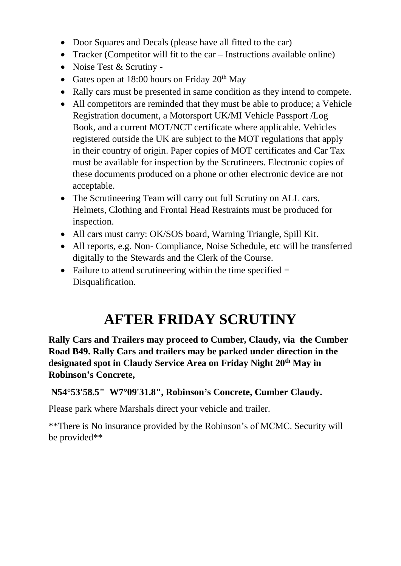- Door Squares and Decals (please have all fitted to the car)
- Tracker (Competitor will fit to the car Instructions available online)
- Noise Test & Scrutiny -
- Gates open at 18:00 hours on Friday  $20<sup>th</sup>$  May
- Rally cars must be presented in same condition as they intend to compete.
- All competitors are reminded that they must be able to produce; a Vehicle Registration document, a Motorsport UK/MI Vehicle Passport /Log Book, and a current MOT/NCT certificate where applicable. Vehicles registered outside the UK are subject to the MOT regulations that apply in their country of origin. Paper copies of MOT certificates and Car Tax must be available for inspection by the Scrutineers. Electronic copies of these documents produced on a phone or other electronic device are not acceptable.
- The Scrutineering Team will carry out full Scrutiny on ALL cars. Helmets, Clothing and Frontal Head Restraints must be produced for inspection.
- All cars must carry: OK/SOS board, Warning Triangle, Spill Kit.
- All reports, e.g. Non- Compliance, Noise Schedule, etc will be transferred digitally to the Stewards and the Clerk of the Course.
- Failure to attend scrutineering within the time specified  $=$ Disqualification.

## **AFTER FRIDAY SCRUTINY**

**Rally Cars and Trailers may proceed to Cumber, Claudy, via the Cumber Road B49. Rally Cars and trailers may be parked under direction in the designated spot in Claudy Service Area on Friday Night 20th May in Robinson's Concrete,**

**N54°53'58.5" W7°09'31.8", Robinson's Concrete, Cumber Claudy.**

Please park where Marshals direct your vehicle and trailer.

\*\*There is No insurance provided by the Robinson's of MCMC. Security will be provided\*\*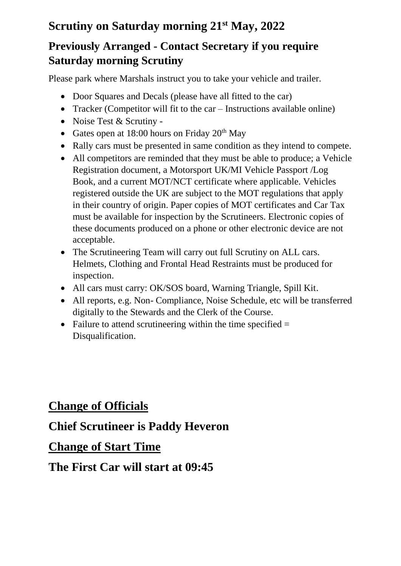## **Scrutiny on Saturday morning 21 st May, 2022**

### **Previously Arranged - Contact Secretary if you require Saturday morning Scrutiny**

Please park where Marshals instruct you to take your vehicle and trailer.

- Door Squares and Decals (please have all fitted to the car)
- Tracker (Competitor will fit to the car Instructions available online)
- Noise Test & Scrutiny -
- Gates open at 18:00 hours on Friday  $20<sup>th</sup>$  May
- Rally cars must be presented in same condition as they intend to compete.
- All competitors are reminded that they must be able to produce; a Vehicle Registration document, a Motorsport UK/MI Vehicle Passport /Log Book, and a current MOT/NCT certificate where applicable. Vehicles registered outside the UK are subject to the MOT regulations that apply in their country of origin. Paper copies of MOT certificates and Car Tax must be available for inspection by the Scrutineers. Electronic copies of these documents produced on a phone or other electronic device are not acceptable.
- The Scrutineering Team will carry out full Scrutiny on ALL cars. Helmets, Clothing and Frontal Head Restraints must be produced for inspection.
- All cars must carry: OK/SOS board, Warning Triangle, Spill Kit.
- All reports, e.g. Non- Compliance, Noise Schedule, etc will be transferred digitally to the Stewards and the Clerk of the Course.
- Failure to attend scrutineering within the time specified  $=$ Disqualification.

### **Change of Officials**

### **Chief Scrutineer is Paddy Heveron**

### **Change of Start Time**

### **The First Car will start at 09:45**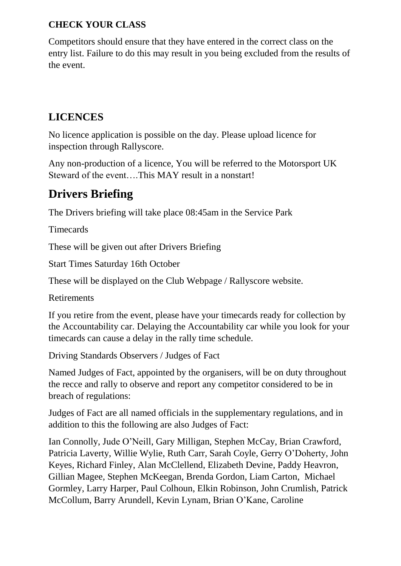#### **CHECK YOUR CLASS**

Competitors should ensure that they have entered in the correct class on the entry list. Failure to do this may result in you being excluded from the results of the event.

#### **LICENCES**

No licence application is possible on the day. Please upload licence for inspection through Rallyscore.

Any non-production of a licence, You will be referred to the Motorsport UK Steward of the event….This MAY result in a nonstart!

## **Drivers Briefing**

The Drivers briefing will take place 08:45am in the Service Park

**Timecards** 

These will be given out after Drivers Briefing

Start Times Saturday 16th October

These will be displayed on the Club Webpage / Rallyscore website.

Retirements

If you retire from the event, please have your timecards ready for collection by the Accountability car. Delaying the Accountability car while you look for your timecards can cause a delay in the rally time schedule.

Driving Standards Observers / Judges of Fact

Named Judges of Fact, appointed by the organisers, will be on duty throughout the recce and rally to observe and report any competitor considered to be in breach of regulations:

Judges of Fact are all named officials in the supplementary regulations, and in addition to this the following are also Judges of Fact:

Ian Connolly, Jude O'Neill, Gary Milligan, Stephen McCay, Brian Crawford, Patricia Laverty, Willie Wylie, Ruth Carr, Sarah Coyle, Gerry O'Doherty, John Keyes, Richard Finley, Alan McClellend, Elizabeth Devine, Paddy Heavron, Gillian Magee, Stephen McKeegan, Brenda Gordon, Liam Carton, Michael Gormley, Larry Harper, Paul Colhoun, Elkin Robinson, John Crumlish, Patrick McCollum, Barry Arundell, Kevin Lynam, Brian O'Kane, Caroline